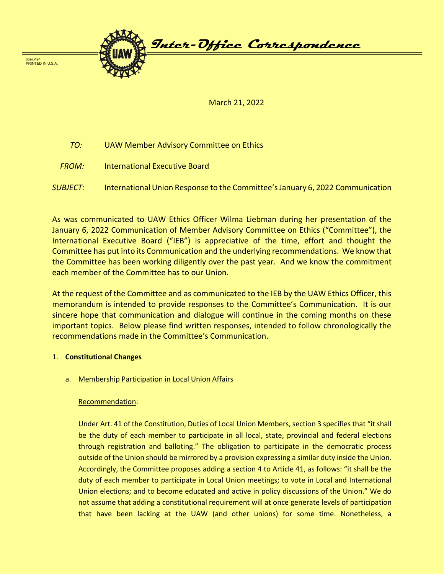

March 21, 2022

- *TO:* UAW Member Advisory Committee on Ethics
- *FROM:* International Executive Board
- *SUBJECT:* International Union Response to the Committee's January 6, 2022 Communication

As was communicated to UAW Ethics Officer Wilma Liebman during her presentation of the January 6, 2022 Communication of Member Advisory Committee on Ethics ("Committee"), the International Executive Board ("IEB") is appreciative of the time, effort and thought the Committee has put into its Communication and the underlying recommendations. We know that the Committee has been working diligently over the past year. And we know the commitment each member of the Committee has to our Union.

At the request of the Committee and as communicated to the IEB by the UAW Ethics Officer, this memorandum is intended to provide responses to the Committee's Communication. It is our sincere hope that communication and dialogue will continue in the coming months on these important topics. Below please find written responses, intended to follow chronologically the recommendations made in the Committee's Communication.

### 1. **Constitutional Changes**

a. Membership Participation in Local Union Affairs

### Recommendation:

Under Art. 41 of the Constitution, Duties of Local Union Members, section 3 specifies that "it shall be the duty of each member to participate in all local, state, provincial and federal elections through registration and balloting." The obligation to participate in the democratic process outside of the Union should be mirrored by a provision expressing a similar duty inside the Union. Accordingly, the Committee proposes adding a section 4 to Article 41, as follows: "it shall be the duty of each member to participate in Local Union meetings; to vote in Local and International Union elections; and to become educated and active in policy discussions of the Union." We do not assume that adding a constitutional requirement will at once generate levels of participation that have been lacking at the UAW (and other unions) for some time. Nonetheless, a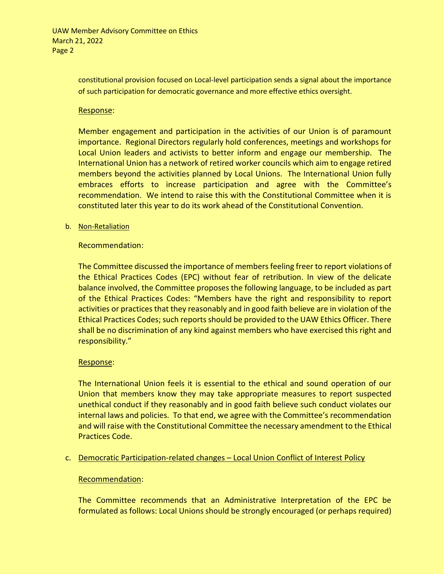constitutional provision focused on Local-level participation sends a signal about the importance of such participation for democratic governance and more effective ethics oversight.

### Response:

Member engagement and participation in the activities of our Union is of paramount importance. Regional Directors regularly hold conferences, meetings and workshops for Local Union leaders and activists to better inform and engage our membership. The International Union has a network of retired worker councils which aim to engage retired members beyond the activities planned by Local Unions. The International Union fully embraces efforts to increase participation and agree with the Committee's recommendation. We intend to raise this with the Constitutional Committee when it is constituted later this year to do its work ahead of the Constitutional Convention.

### b. Non-Retaliation

# Recommendation:

The Committee discussed the importance of members feeling freer to report violations of the Ethical Practices Codes (EPC) without fear of retribution. In view of the delicate balance involved, the Committee proposes the following language, to be included as part of the Ethical Practices Codes: "Members have the right and responsibility to report activities or practices that they reasonably and in good faith believe are in violation of the Ethical Practices Codes; such reports should be provided to the UAW Ethics Officer. There shall be no discrimination of any kind against members who have exercised this right and responsibility."

# Response:

The International Union feels it is essential to the ethical and sound operation of our Union that members know they may take appropriate measures to report suspected unethical conduct if they reasonably and in good faith believe such conduct violates our internal laws and policies. To that end, we agree with the Committee's recommendation and will raise with the Constitutional Committee the necessary amendment to the Ethical Practices Code.

# c. Democratic Participation-related changes – Local Union Conflict of Interest Policy

### Recommendation:

The Committee recommends that an Administrative Interpretation of the EPC be formulated as follows: Local Unions should be strongly encouraged (or perhaps required)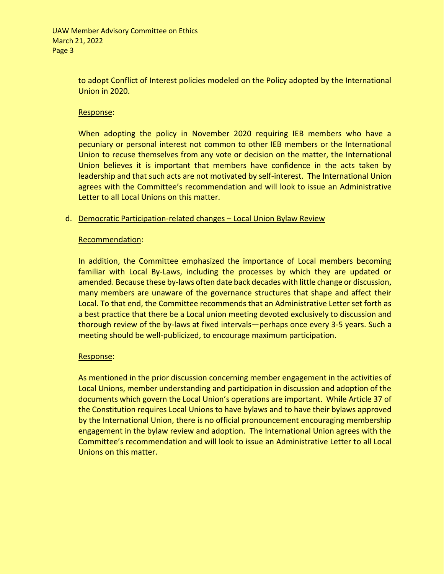to adopt Conflict of Interest policies modeled on the Policy adopted by the International Union in 2020.

# Response:

When adopting the policy in November 2020 requiring IEB members who have a pecuniary or personal interest not common to other IEB members or the International Union to recuse themselves from any vote or decision on the matter, the International Union believes it is important that members have confidence in the acts taken by leadership and that such acts are not motivated by self-interest. The International Union agrees with the Committee's recommendation and will look to issue an Administrative Letter to all Local Unions on this matter.

# d. Democratic Participation-related changes – Local Union Bylaw Review

### Recommendation:

In addition, the Committee emphasized the importance of Local members becoming familiar with Local By-Laws, including the processes by which they are updated or amended. Because these by-laws often date back decades with little change or discussion, many members are unaware of the governance structures that shape and affect their Local. To that end, the Committee recommends that an Administrative Letter set forth as a best practice that there be a Local union meeting devoted exclusively to discussion and thorough review of the by-laws at fixed intervals—perhaps once every 3-5 years. Such a meeting should be well-publicized, to encourage maximum participation.

# Response:

As mentioned in the prior discussion concerning member engagement in the activities of Local Unions, member understanding and participation in discussion and adoption of the documents which govern the Local Union's operations are important. While Article 37 of the Constitution requires Local Unions to have bylaws and to have their bylaws approved by the International Union, there is no official pronouncement encouraging membership engagement in the bylaw review and adoption. The International Union agrees with the Committee's recommendation and will look to issue an Administrative Letter to all Local Unions on this matter.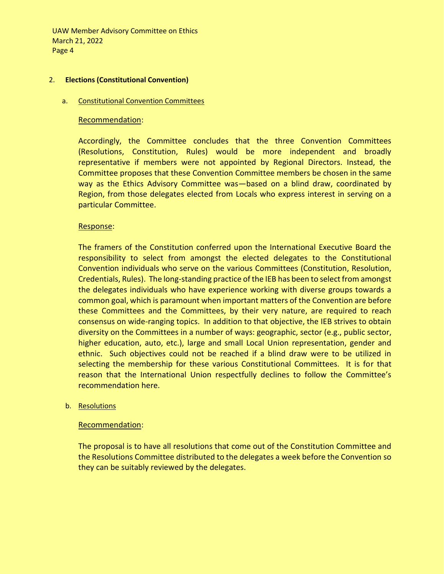#### 2. **Elections (Constitutional Convention)**

#### a. Constitutional Convention Committees

#### Recommendation:

Accordingly, the Committee concludes that the three Convention Committees (Resolutions, Constitution, Rules) would be more independent and broadly representative if members were not appointed by Regional Directors. Instead, the Committee proposes that these Convention Committee members be chosen in the same way as the Ethics Advisory Committee was—based on a blind draw, coordinated by Region, from those delegates elected from Locals who express interest in serving on a particular Committee.

### Response:

The framers of the Constitution conferred upon the International Executive Board the responsibility to select from amongst the elected delegates to the Constitutional Convention individuals who serve on the various Committees (Constitution, Resolution, Credentials, Rules). The long-standing practice of the IEB has been to select from amongst the delegates individuals who have experience working with diverse groups towards a common goal, which is paramount when important matters of the Convention are before these Committees and the Committees, by their very nature, are required to reach consensus on wide-ranging topics. In addition to that objective, the IEB strives to obtain diversity on the Committees in a number of ways: geographic, sector (e.g., public sector, higher education, auto, etc.), large and small Local Union representation, gender and ethnic. Such objectives could not be reached if a blind draw were to be utilized in selecting the membership for these various Constitutional Committees. It is for that reason that the International Union respectfully declines to follow the Committee's recommendation here.

### b. Resolutions

### Recommendation:

The proposal is to have all resolutions that come out of the Constitution Committee and the Resolutions Committee distributed to the delegates a week before the Convention so they can be suitably reviewed by the delegates.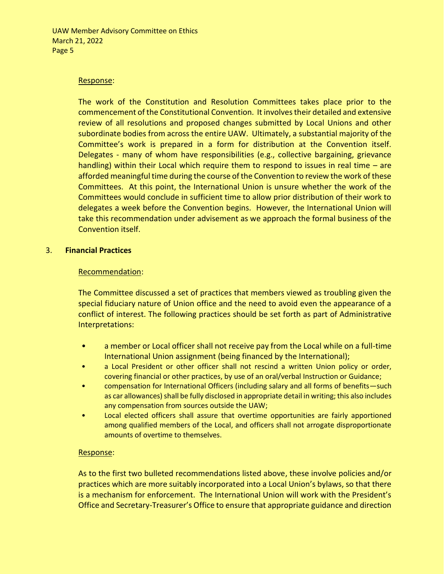### Response:

The work of the Constitution and Resolution Committees takes place prior to the commencement of the Constitutional Convention. It involves their detailed and extensive review of all resolutions and proposed changes submitted by Local Unions and other subordinate bodies from across the entire UAW. Ultimately, a substantial majority of the Committee's work is prepared in a form for distribution at the Convention itself. Delegates - many of whom have responsibilities (e.g., collective bargaining, grievance handling) within their Local which require them to respond to issues in real time – are afforded meaningful time during the course of the Convention to review the work of these Committees. At this point, the International Union is unsure whether the work of the Committees would conclude in sufficient time to allow prior distribution of their work to delegates a week before the Convention begins. However, the International Union will take this recommendation under advisement as we approach the formal business of the Convention itself.

### 3. **Financial Practices**

### Recommendation:

The Committee discussed a set of practices that members viewed as troubling given the special fiduciary nature of Union office and the need to avoid even the appearance of a conflict of interest. The following practices should be set forth as part of Administrative Interpretations:

- a member or Local officer shall not receive pay from the Local while on a full-time International Union assignment (being financed by the International);
- a Local President or other officer shall not rescind a written Union policy or order, covering financial or other practices, by use of an oral/verbal Instruction or Guidance;
- compensation for International Officers (including salary and all forms of benefits—such as car allowances) shall be fully disclosed in appropriate detail in writing; this also includes any compensation from sources outside the UAW;
- Local elected officers shall assure that overtime opportunities are fairly apportioned among qualified members of the Local, and officers shall not arrogate disproportionate amounts of overtime to themselves.

### Response:

As to the first two bulleted recommendations listed above, these involve policies and/or practices which are more suitably incorporated into a Local Union's bylaws, so that there is a mechanism for enforcement. The International Union will work with the President's Office and Secretary-Treasurer's Office to ensure that appropriate guidance and direction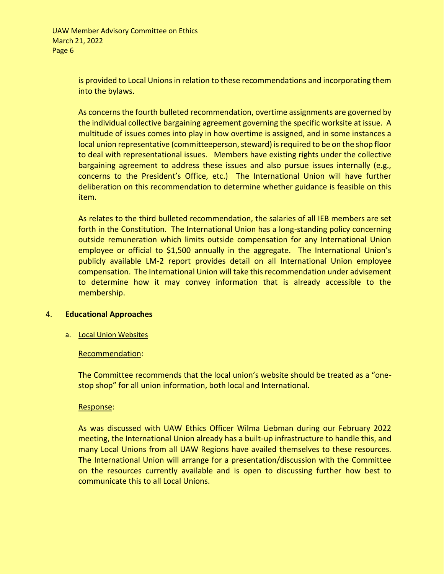is provided to Local Unions in relation to these recommendations and incorporating them into the bylaws.

As concerns the fourth bulleted recommendation, overtime assignments are governed by the individual collective bargaining agreement governing the specific worksite at issue. A multitude of issues comes into play in how overtime is assigned, and in some instances a local union representative (committeeperson, steward) is required to be on the shop floor to deal with representational issues. Members have existing rights under the collective bargaining agreement to address these issues and also pursue issues internally (e.g., concerns to the President's Office, etc.) The International Union will have further deliberation on this recommendation to determine whether guidance is feasible on this item.

As relates to the third bulleted recommendation, the salaries of all IEB members are set forth in the Constitution. The International Union has a long-standing policy concerning outside remuneration which limits outside compensation for any International Union employee or official to \$1,500 annually in the aggregate. The International Union's publicly available LM-2 report provides detail on all International Union employee compensation. The International Union will take this recommendation under advisement to determine how it may convey information that is already accessible to the membership.

### 4. **Educational Approaches**

### a. Local Union Websites

### Recommendation:

The Committee recommends that the local union's website should be treated as a "onestop shop" for all union information, both local and International.

### Response:

As was discussed with UAW Ethics Officer Wilma Liebman during our February 2022 meeting, the International Union already has a built-up infrastructure to handle this, and many Local Unions from all UAW Regions have availed themselves to these resources. The International Union will arrange for a presentation/discussion with the Committee on the resources currently available and is open to discussing further how best to communicate this to all Local Unions.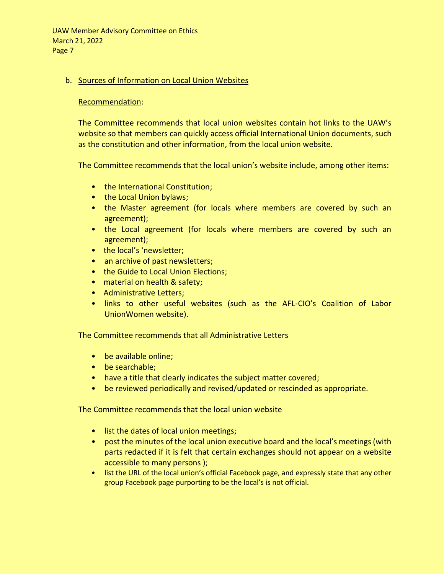# b. Sources of Information on Local Union Websites

# Recommendation:

The Committee recommends that local union websites contain hot links to the UAW's website so that members can quickly access official International Union documents, such as the constitution and other information, from the local union website.

The Committee recommends that the local union's website include, among other items:

- the International Constitution;
- the Local Union bylaws;
- the Master agreement (for locals where members are covered by such an agreement);
- the Local agreement (for locals where members are covered by such an agreement);
- the local's 'newsletter:
- an archive of past newsletters;
- the Guide to Local Union Elections;
- material on health & safety;
- Administrative Letters;
- links to other useful websites (such as the AFL-CIO's Coalition of Labor UnionWomen website).

The Committee recommends that all Administrative Letters

- be available online;
- be searchable;
- have a title that clearly indicates the subject matter covered;
- be reviewed periodically and revised/updated or rescinded as appropriate.

The Committee recommends that the local union website

- list the dates of local union meetings;
- post the minutes of the local union executive board and the local's meetings (with parts redacted if it is felt that certain exchanges should not appear on a website accessible to many persons );
- list the URL of the local union's official Facebook page, and expressly state that any other group Facebook page purporting to be the local's is not official.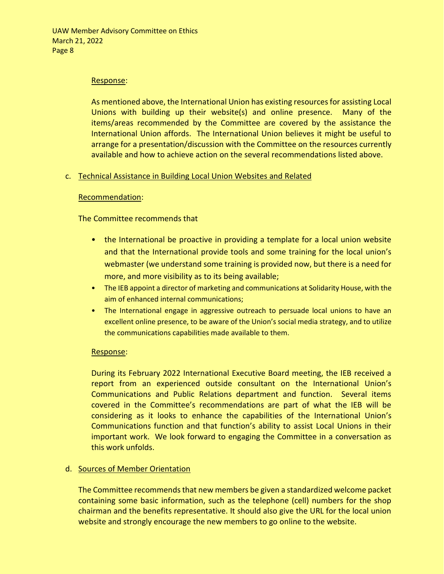### Response:

As mentioned above, the International Union has existing resources for assisting Local Unions with building up their website(s) and online presence. Many of the items/areas recommended by the Committee are covered by the assistance the International Union affords. The International Union believes it might be useful to arrange for a presentation/discussion with the Committee on the resources currently available and how to achieve action on the several recommendations listed above.

### c. Technical Assistance in Building Local Union Websites and Related

### Recommendation:

### The Committee recommends that

- the International be proactive in providing a template for a local union website and that the International provide tools and some training for the local union's webmaster (we understand some training is provided now, but there is a need for more, and more visibility as to its being available;
- The IEB appoint a director of marketing and communications at Solidarity House, with the aim of enhanced internal communications;
- The International engage in aggressive outreach to persuade local unions to have an excellent online presence, to be aware of the Union's social media strategy, and to utilize the communications capabilities made available to them.

### Response:

During its February 2022 International Executive Board meeting, the IEB received a report from an experienced outside consultant on the International Union's Communications and Public Relations department and function. Several items covered in the Committee's recommendations are part of what the IEB will be considering as it looks to enhance the capabilities of the International Union's Communications function and that function's ability to assist Local Unions in their important work. We look forward to engaging the Committee in a conversation as this work unfolds.

# d. Sources of Member Orientation

The Committee recommends that new members be given a standardized welcome packet containing some basic information, such as the telephone (cell) numbers for the shop chairman and the benefits representative. It should also give the URL for the local union website and strongly encourage the new members to go online to the website.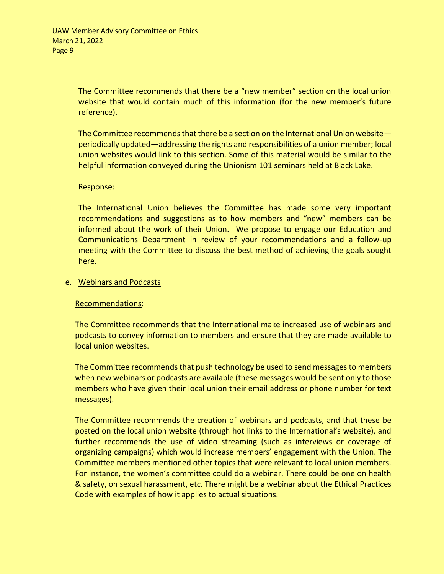The Committee recommends that there be a "new member" section on the local union website that would contain much of this information (for the new member's future reference).

The Committee recommends that there be a section on the International Union website periodically updated—addressing the rights and responsibilities of a union member; local union websites would link to this section. Some of this material would be similar to the helpful information conveyed during the Unionism 101 seminars held at Black Lake.

# Response:

The International Union believes the Committee has made some very important recommendations and suggestions as to how members and "new" members can be informed about the work of their Union. We propose to engage our Education and Communications Department in review of your recommendations and a follow-up meeting with the Committee to discuss the best method of achieving the goals sought here.

### e. Webinars and Podcasts

# Recommendations:

The Committee recommends that the International make increased use of webinars and podcasts to convey information to members and ensure that they are made available to local union websites.

The Committee recommends that push technology be used to send messages to members when new webinars or podcasts are available (these messages would be sent only to those members who have given their local union their email address or phone number for text messages).

The Committee recommends the creation of webinars and podcasts, and that these be posted on the local union website (through hot links to the International's website), and further recommends the use of video streaming (such as interviews or coverage of organizing campaigns) which would increase members' engagement with the Union. The Committee members mentioned other topics that were relevant to local union members. For instance, the women's committee could do a webinar. There could be one on health & safety, on sexual harassment, etc. There might be a webinar about the Ethical Practices Code with examples of how it applies to actual situations.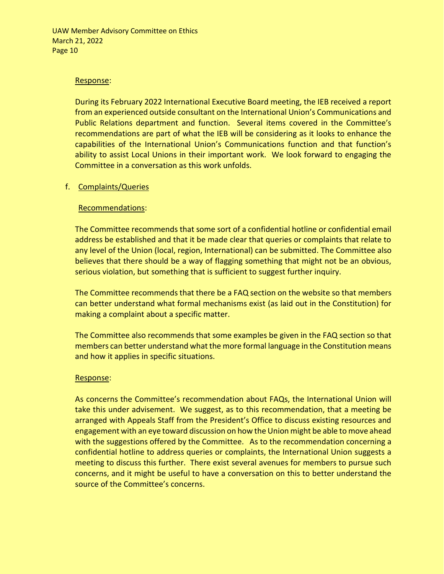### Response:

During its February 2022 International Executive Board meeting, the IEB received a report from an experienced outside consultant on the International Union's Communications and Public Relations department and function. Several items covered in the Committee's recommendations are part of what the IEB will be considering as it looks to enhance the capabilities of the International Union's Communications function and that function's ability to assist Local Unions in their important work. We look forward to engaging the Committee in a conversation as this work unfolds.

### f. Complaints/Queries

### Recommendations:

The Committee recommends that some sort of a confidential hotline or confidential email address be established and that it be made clear that queries or complaints that relate to any level of the Union (local, region, International) can be submitted. The Committee also believes that there should be a way of flagging something that might not be an obvious, serious violation, but something that is sufficient to suggest further inquiry.

The Committee recommends that there be a FAQ section on the website so that members can better understand what formal mechanisms exist (as laid out in the Constitution) for making a complaint about a specific matter.

The Committee also recommends that some examples be given in the FAQ section so that members can better understand what the more formal language in the Constitution means and how it applies in specific situations.

### Response:

As concerns the Committee's recommendation about FAQs, the International Union will take this under advisement. We suggest, as to this recommendation, that a meeting be arranged with Appeals Staff from the President's Office to discuss existing resources and engagement with an eye toward discussion on how the Union might be able to move ahead with the suggestions offered by the Committee. As to the recommendation concerning a confidential hotline to address queries or complaints, the International Union suggests a meeting to discuss this further. There exist several avenues for members to pursue such concerns, and it might be useful to have a conversation on this to better understand the source of the Committee's concerns.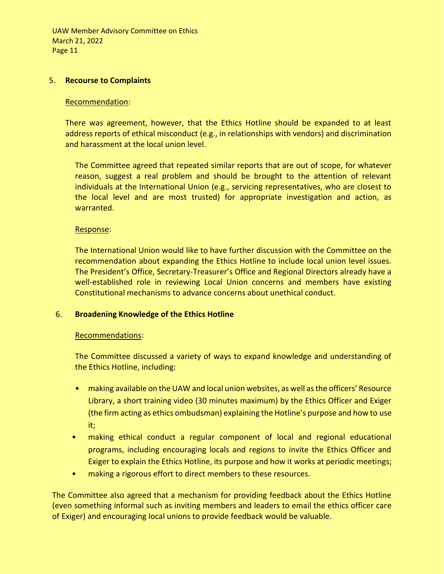### 5. **Recourse to Complaints**

### Recommendation:

There was agreement, however, that the Ethics Hotline should be expanded to at least address reports of ethical misconduct (e.g., in relationships with vendors) and discrimination and harassment at the local union level.

The Committee agreed that repeated similar reports that are out of scope, for whatever reason, suggest a real problem and should be brought to the attention of relevant individuals at the International Union (e.g., servicing representatives, who are closest to the local level and are most trusted) for appropriate investigation and action, as warranted.

### Response:

The International Union would like to have further discussion with the Committee on the recommendation about expanding the Ethics Hotline to include local union level issues. The President's Office, Secretary-Treasurer's Office and Regional Directors already have a well-established role in reviewing Local Union concerns and members have existing Constitutional mechanisms to advance concerns about unethical conduct.

# 6. **Broadening Knowledge of the Ethics Hotline**

### Recommendations:

The Committee discussed a variety of ways to expand knowledge and understanding of the Ethics Hotline, including:

- making available on the UAW and local union websites, as well as the officers' Resource Library, a short training video (30 minutes maximum) by the Ethics Officer and Exiger (the firm acting as ethics ombudsman) explaining the Hotline's purpose and how to use it;
- making ethical conduct a regular component of local and regional educational programs, including encouraging locals and regions to invite the Ethics Officer and Exiger to explain the Ethics Hotline, its purpose and how it works at periodic meetings;
- making a rigorous effort to direct members to these resources.

The Committee also agreed that a mechanism for providing feedback about the Ethics Hotline (even something informal such as inviting members and leaders to email the ethics officer care of Exiger) and encouraging local unions to provide feedback would be valuable.